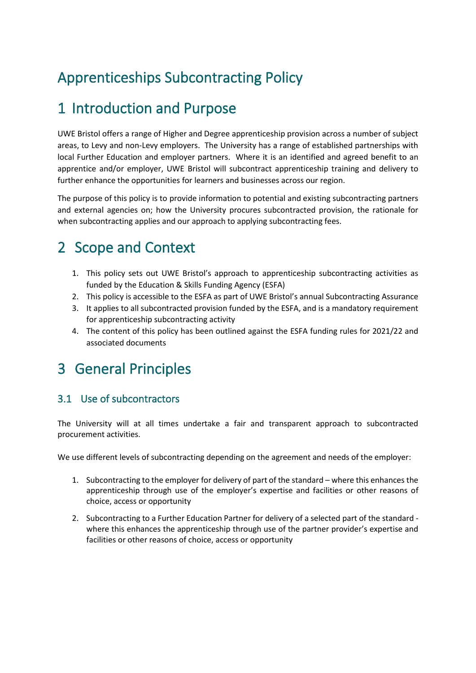# Apprenticeships Subcontracting Policy

### 1 Introduction and Purpose

UWE Bristol offers a range of Higher and Degree apprenticeship provision across a number of subject areas, to Levy and non-Levy employers. The University has a range of established partnerships with local Further Education and employer partners. Where it is an identified and agreed benefit to an apprentice and/or employer, UWE Bristol will subcontract apprenticeship training and delivery to further enhance the opportunities for learners and businesses across our region.

The purpose of this policy is to provide information to potential and existing subcontracting partners and external agencies on; how the University procures subcontracted provision, the rationale for when subcontracting applies and our approach to applying subcontracting fees.

# 2 Scope and Context

- 1. This policy sets out UWE Bristol's approach to apprenticeship subcontracting activities as funded by the Education & Skills Funding Agency (ESFA)
- 2. This policy is accessible to the ESFA as part of UWE Bristol's annual Subcontracting Assurance
- 3. It applies to all subcontracted provision funded by the ESFA, and is a mandatory requirement for apprenticeship subcontracting activity
- 4. The content of this policy has been outlined against the ESFA funding rules for 2021/22 and associated documents

### 3 General Principles

### 3.1 Use of subcontractors

The University will at all times undertake a fair and transparent approach to subcontracted procurement activities.

We use different levels of subcontracting depending on the agreement and needs of the employer:

- 1. Subcontracting to the employer for delivery of part of the standard where this enhances the apprenticeship through use of the employer's expertise and facilities or other reasons of choice, access or opportunity
- 2. Subcontracting to a Further Education Partner for delivery of a selected part of the standard where this enhances the apprenticeship through use of the partner provider's expertise and facilities or other reasons of choice, access or opportunity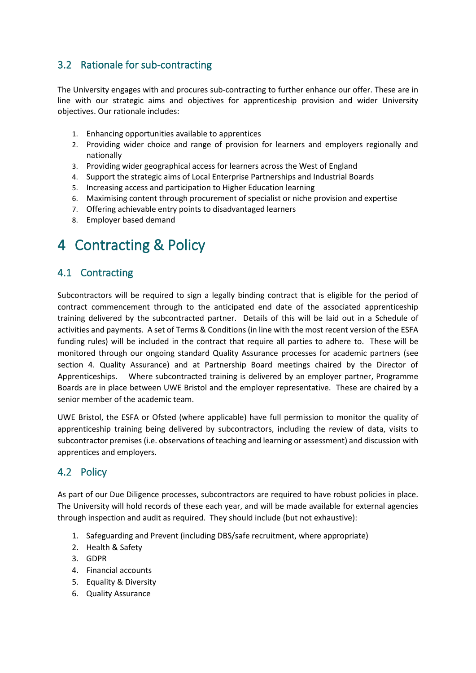### 3.2 Rationale for sub-contracting

The University engages with and procures sub-contracting to further enhance our offer. These are in line with our strategic aims and objectives for apprenticeship provision and wider University objectives. Our rationale includes:

- 1. Enhancing opportunities available to apprentices
- 2. Providing wider choice and range of provision for learners and employers regionally and nationally
- 3. Providing wider geographical access for learners across the West of England
- 4. Support the strategic aims of Local Enterprise Partnerships and Industrial Boards
- 5. Increasing access and participation to Higher Education learning
- 6. Maximising content through procurement of specialist or niche provision and expertise
- 7. Offering achievable entry points to disadvantaged learners
- 8. Employer based demand

### 4 Contracting & Policy

#### 4.1 Contracting

Subcontractors will be required to sign a legally binding contract that is eligible for the period of contract commencement through to the anticipated end date of the associated apprenticeship training delivered by the subcontracted partner. Details of this will be laid out in a Schedule of activities and payments. A set of Terms & Conditions (in line with the most recent version of the ESFA funding rules) will be included in the contract that require all parties to adhere to. These will be monitored through our ongoing standard Quality Assurance processes for academic partners (see section 4. Quality Assurance) and at Partnership Board meetings chaired by the Director of Apprenticeships. Where subcontracted training is delivered by an employer partner, Programme Boards are in place between UWE Bristol and the employer representative. These are chaired by a senior member of the academic team.

UWE Bristol, the ESFA or Ofsted (where applicable) have full permission to monitor the quality of apprenticeship training being delivered by subcontractors, including the review of data, visits to subcontractor premises (i.e. observations of teaching and learning or assessment) and discussion with apprentices and employers.

#### 4.2 Policy

As part of our Due Diligence processes, subcontractors are required to have robust policies in place. The University will hold records of these each year, and will be made available for external agencies through inspection and audit as required. They should include (but not exhaustive):

- 1. Safeguarding and Prevent (including DBS/safe recruitment, where appropriate)
- 2. Health & Safety
- 3. GDPR
- 4. Financial accounts
- 5. Equality & Diversity
- 6. Quality Assurance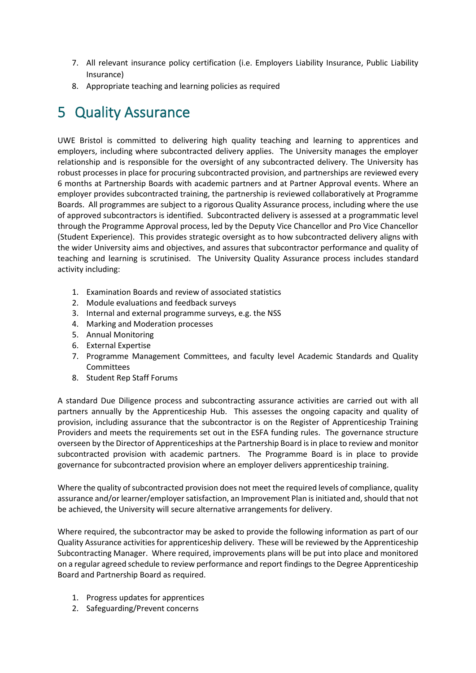- 7. All relevant insurance policy certification (i.e. Employers Liability Insurance, Public Liability Insurance)
- 8. Appropriate teaching and learning policies as required

### 5 Quality Assurance

UWE Bristol is committed to delivering high quality teaching and learning to apprentices and employers, including where subcontracted delivery applies. The University manages the employer relationship and is responsible for the oversight of any subcontracted delivery. The University has robust processes in place for procuring subcontracted provision, and partnerships are reviewed every 6 months at Partnership Boards with academic partners and at Partner Approval events. Where an employer provides subcontracted training, the partnership is reviewed collaboratively at Programme Boards. All programmes are subject to a rigorous Quality Assurance process, including where the use of approved subcontractors is identified. Subcontracted delivery is assessed at a programmatic level through the Programme Approval process, led by the Deputy Vice Chancellor and Pro Vice Chancellor (Student Experience). This provides strategic oversight as to how subcontracted delivery aligns with the wider University aims and objectives, and assures that subcontractor performance and quality of teaching and learning is scrutinised. The University Quality Assurance process includes standard activity including:

- 1. Examination Boards and review of associated statistics
- 2. Module evaluations and feedback surveys
- 3. Internal and external programme surveys, e.g. the NSS
- 4. Marking and Moderation processes
- 5. Annual Monitoring
- 6. External Expertise
- 7. Programme Management Committees, and faculty level Academic Standards and Quality Committees
- 8. Student Rep Staff Forums

A standard Due Diligence process and subcontracting assurance activities are carried out with all partners annually by the Apprenticeship Hub. This assesses the ongoing capacity and quality of provision, including assurance that the subcontractor is on the Register of Apprenticeship Training Providers and meets the requirements set out in the ESFA funding rules. The governance structure overseen by the Director of Apprenticeships at the Partnership Board is in place to review and monitor subcontracted provision with academic partners. The Programme Board is in place to provide governance for subcontracted provision where an employer delivers apprenticeship training.

Where the quality of subcontracted provision does not meet the required levels of compliance, quality assurance and/or learner/employer satisfaction, an Improvement Plan is initiated and, should that not be achieved, the University will secure alternative arrangements for delivery.

Where required, the subcontractor may be asked to provide the following information as part of our Quality Assurance activities for apprenticeship delivery. These will be reviewed by the Apprenticeship Subcontracting Manager. Where required, improvements plans will be put into place and monitored on a regular agreed schedule to review performance and report findings to the Degree Apprenticeship Board and Partnership Board as required.

- 1. Progress updates for apprentices
- 2. Safeguarding/Prevent concerns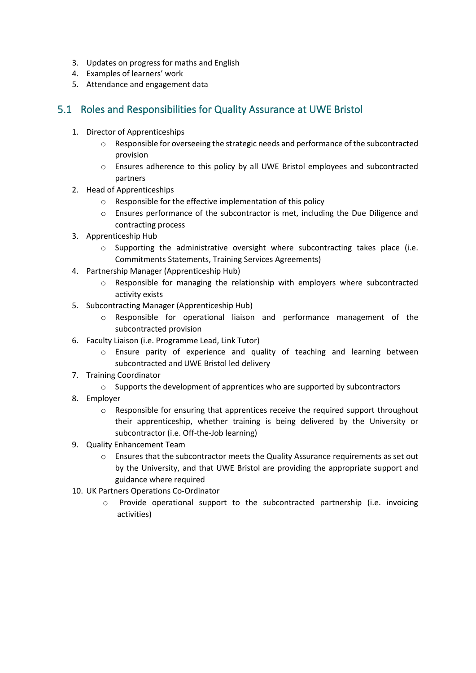- 3. Updates on progress for maths and English
- 4. Examples of learners' work
- 5. Attendance and engagement data

#### 5.1 Roles and Responsibilities for Quality Assurance at UWE Bristol

- 1. Director of Apprenticeships
	- $\circ$  Responsible for overseeing the strategic needs and performance of the subcontracted provision
	- o Ensures adherence to this policy by all UWE Bristol employees and subcontracted partners
- 2. Head of Apprenticeships
	- o Responsible for the effective implementation of this policy
	- $\circ$  Ensures performance of the subcontractor is met, including the Due Diligence and contracting process
- 3. Apprenticeship Hub
	- $\circ$  Supporting the administrative oversight where subcontracting takes place (i.e. Commitments Statements, Training Services Agreements)
- 4. Partnership Manager (Apprenticeship Hub)
	- $\circ$  Responsible for managing the relationship with employers where subcontracted activity exists
- 5. Subcontracting Manager (Apprenticeship Hub)
	- o Responsible for operational liaison and performance management of the subcontracted provision
- 6. Faculty Liaison (i.e. Programme Lead, Link Tutor)
	- o Ensure parity of experience and quality of teaching and learning between subcontracted and UWE Bristol led delivery
- 7. Training Coordinator
	- $\circ$  Supports the development of apprentices who are supported by subcontractors
- 8. Employer
	- $\circ$  Responsible for ensuring that apprentices receive the required support throughout their apprenticeship, whether training is being delivered by the University or subcontractor (i.e. Off-the-Job learning)
- 9. Quality Enhancement Team
	- o Ensures that the subcontractor meets the Quality Assurance requirements as set out by the University, and that UWE Bristol are providing the appropriate support and guidance where required
- 10. UK Partners Operations Co-Ordinator
	- $\circ$  Provide operational support to the subcontracted partnership (i.e. invoicing activities)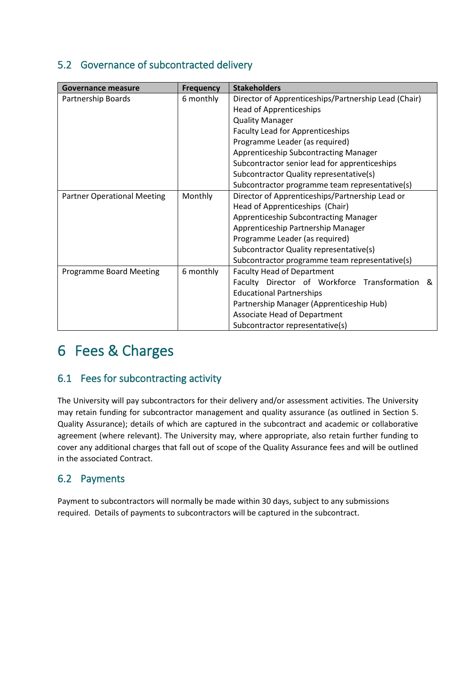### 5.2 Governance of subcontracted delivery

| Governance measure                          | <b>Frequency</b> | <b>Stakeholders</b>                                                       |  |
|---------------------------------------------|------------------|---------------------------------------------------------------------------|--|
| Partnership Boards                          | 6 monthly        | Director of Apprenticeships/Partnership Lead (Chair)                      |  |
|                                             |                  | <b>Head of Apprenticeships</b>                                            |  |
|                                             |                  | <b>Quality Manager</b><br><b>Faculty Lead for Apprenticeships</b>         |  |
|                                             |                  |                                                                           |  |
|                                             |                  | Programme Leader (as required)                                            |  |
|                                             |                  | Apprenticeship Subcontracting Manager                                     |  |
|                                             |                  | Subcontractor senior lead for apprenticeships                             |  |
|                                             |                  | Subcontractor Quality representative(s)                                   |  |
|                                             |                  | Subcontractor programme team representative(s)                            |  |
| <b>Partner Operational Meeting</b>          | Monthly          | Director of Apprenticeships/Partnership Lead or                           |  |
|                                             |                  | Head of Apprenticeships (Chair)                                           |  |
|                                             |                  | Apprenticeship Subcontracting Manager                                     |  |
|                                             |                  | Apprenticeship Partnership Manager                                        |  |
|                                             |                  | Programme Leader (as required)<br>Subcontractor Quality representative(s) |  |
|                                             |                  |                                                                           |  |
|                                             |                  | Subcontractor programme team representative(s)                            |  |
| 6 monthly<br><b>Programme Board Meeting</b> |                  | <b>Faculty Head of Department</b>                                         |  |
|                                             |                  | Faculty Director of Workforce Transformation &                            |  |
|                                             |                  | <b>Educational Partnerships</b>                                           |  |
|                                             |                  | Partnership Manager (Apprenticeship Hub)                                  |  |
|                                             |                  | Associate Head of Department                                              |  |
|                                             |                  | Subcontractor representative(s)                                           |  |

### 6 Fees & Charges

#### 6.1 Fees for subcontracting activity

The University will pay subcontractors for their delivery and/or assessment activities. The University may retain funding for subcontractor management and quality assurance (as outlined in Section 5. Quality Assurance); details of which are captured in the subcontract and academic or collaborative agreement (where relevant). The University may, where appropriate, also retain further funding to cover any additional charges that fall out of scope of the Quality Assurance fees and will be outlined in the associated Contract.

#### 6.2 Payments

Payment to subcontractors will normally be made within 30 days, subject to any submissions required. Details of payments to subcontractors will be captured in the subcontract.